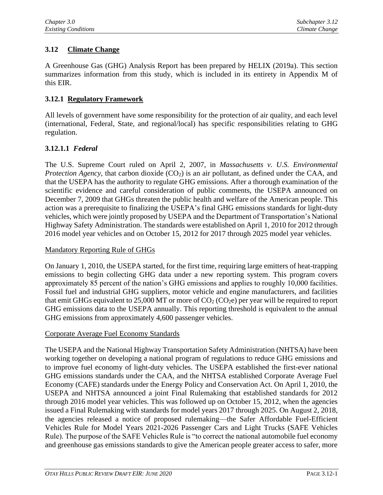# **3.12 Climate Change**

A Greenhouse Gas (GHG) Analysis Report has been prepared by HELIX (2019a). This section summarizes information from this study, which is included in its entirety in Appendix M of this EIR.

## **3.12.1 Regulatory Framework**

All levels of government have some responsibility for the protection of air quality, and each level (international, Federal, State, and regional/local) has specific responsibilities relating to GHG regulation.

## **3.12.1.1** *Federal*

The U.S. Supreme Court ruled on April 2, 2007, in *Massachusetts v. U.S. Environmental Protection Agency*, that carbon dioxide (CO<sub>2</sub>) is an air pollutant, as defined under the CAA, and that the USEPA has the authority to regulate GHG emissions. After a thorough examination of the scientific evidence and careful consideration of public comments, the USEPA announced on December 7, 2009 that GHGs threaten the public health and welfare of the American people. This action was a prerequisite to finalizing the USEPA's final GHG emissions standards for light-duty vehicles, which were jointly proposed by USEPA and the Department of Transportation's National Highway Safety Administration. The standards were established on April 1, 2010 for 2012 through 2016 model year vehicles and on October 15, 2012 for 2017 through 2025 model year vehicles.

### Mandatory Reporting Rule of GHGs

On January 1, 2010, the USEPA started, for the first time, requiring large emitters of heat-trapping emissions to begin collecting GHG data under a new reporting system. This program covers approximately 85 percent of the nation's GHG emissions and applies to roughly 10,000 facilities. Fossil fuel and industrial GHG suppliers, motor vehicle and engine manufacturers, and facilities that emit GHGs equivalent to 25,000 MT or more of  $CO<sub>2</sub> (CO<sub>2</sub>e)$  per year will be required to report GHG emissions data to the USEPA annually. This reporting threshold is equivalent to the annual GHG emissions from approximately 4,600 passenger vehicles.

### Corporate Average Fuel Economy Standards

The USEPA and the National Highway Transportation Safety Administration (NHTSA) have been working together on developing a national program of regulations to reduce GHG emissions and to improve fuel economy of light-duty vehicles. The USEPA established the first-ever national GHG emissions standards under the CAA, and the NHTSA established Corporate Average Fuel Economy (CAFE) standards under the Energy Policy and Conservation Act. On April 1, 2010, the USEPA and NHTSA announced a joint Final Rulemaking that established standards for 2012 through 2016 model year vehicles. This was followed up on October 15, 2012, when the agencies issued a Final Rulemaking with standards for model years 2017 through 2025. On August 2, 2018, the agencies released a notice of proposed rulemaking—the Safer Affordable Fuel-Efficient Vehicles Rule for Model Years 2021-2026 Passenger Cars and Light Trucks (SAFE Vehicles Rule). The purpose of the SAFE Vehicles Rule is "to correct the national automobile fuel economy and greenhouse gas emissions standards to give the American people greater access to safer, more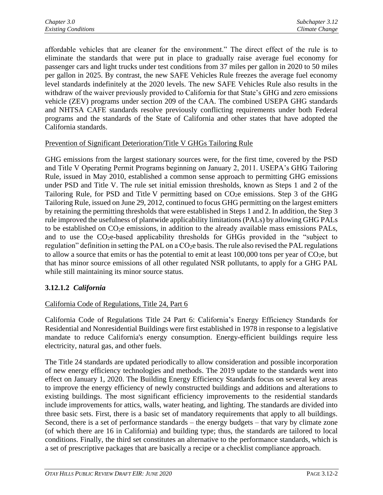affordable vehicles that are cleaner for the environment." The direct effect of the rule is to eliminate the standards that were put in place to gradually raise average fuel economy for passenger cars and light trucks under test conditions from 37 miles per gallon in 2020 to 50 miles per gallon in 2025. By contrast, the new SAFE Vehicles Rule freezes the average fuel economy level standards indefinitely at the 2020 levels. The new SAFE Vehicles Rule also results in the withdraw of the waiver previously provided to California for that State's GHG and zero emissions vehicle (ZEV) programs under section 209 of the CAA. The combined USEPA GHG standards and NHTSA CAFE standards resolve previously conflicting requirements under both Federal programs and the standards of the State of California and other states that have adopted the California standards.

### Prevention of Significant Deterioration/Title V GHGs Tailoring Rule

GHG emissions from the largest stationary sources were, for the first time, covered by the PSD and Title V Operating Permit Programs beginning on January 2, 2011. USEPA's GHG Tailoring Rule, issued in May 2010, established a common sense approach to permitting GHG emissions under PSD and Title V. The rule set initial emission thresholds, known as Steps 1 and 2 of the Tailoring Rule, for PSD and Title V permitting based on CO<sub>2</sub>e emissions. Step 3 of the GHG Tailoring Rule, issued on June 29, 2012, continued to focus GHG permitting on the largest emitters by retaining the permitting thresholds that were established in Steps 1 and 2. In addition, the Step 3 rule improved the usefulness of plantwide applicability limitations (PALs) by allowing GHG PALs to be established on CO<sub>2</sub>e emissions, in addition to the already available mass emissions PALs, and to use the CO2e-based applicability thresholds for GHGs provided in the "subject to regulation" definition in setting the PAL on a CO<sub>2</sub>e basis. The rule also revised the PAL regulations to allow a source that emits or has the potential to emit at least  $100,000$  tons per year of  $CO<sub>2</sub>e$ , but that has minor source emissions of all other regulated NSR pollutants, to apply for a GHG PAL while still maintaining its minor source status.

## **3.12.1.2** *California*

## California Code of Regulations, Title 24, Part 6

California Code of Regulations Title 24 Part 6: California's Energy Efficiency Standards for Residential and Nonresidential Buildings were first established in 1978 in response to a legislative mandate to reduce California's energy consumption. Energy-efficient buildings require less electricity, natural gas, and other fuels.

The Title 24 standards are updated periodically to allow consideration and possible incorporation of new energy efficiency technologies and methods. The 2019 update to the standards went into effect on January 1, 2020. The Building Energy Efficiency Standards focus on several key areas to improve the energy efficiency of newly constructed buildings and additions and alterations to existing buildings. The most significant efficiency improvements to the residential standards include improvements for attics, walls, water heating, and lighting. The standards are divided into three basic sets. First, there is a basic set of mandatory requirements that apply to all buildings. Second, there is a set of performance standards – the energy budgets – that vary by climate zone (of which there are 16 in California) and building type; thus, the standards are tailored to local conditions. Finally, the third set constitutes an alternative to the performance standards, which is a set of prescriptive packages that are basically a recipe or a checklist compliance approach.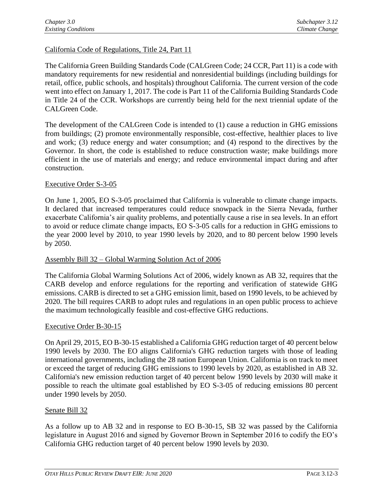### California Code of Regulations, Title 24, Part 11

The California Green Building Standards Code (CALGreen Code; 24 CCR, Part 11) is a code with mandatory requirements for new residential and nonresidential buildings (including buildings for retail, office, public schools, and hospitals) throughout California. The current version of the code went into effect on January 1, 2017. The code is Part 11 of the California Building Standards Code in Title 24 of the CCR. Workshops are currently being held for the next triennial update of the CALGreen Code.

The development of the CALGreen Code is intended to (1) cause a reduction in GHG emissions from buildings; (2) promote environmentally responsible, cost-effective, healthier places to live and work; (3) reduce energy and water consumption; and (4) respond to the directives by the Governor. In short, the code is established to reduce construction waste; make buildings more efficient in the use of materials and energy; and reduce environmental impact during and after construction.

### Executive Order S-3-05

On June 1, 2005, EO S-3-05 proclaimed that California is vulnerable to climate change impacts. It declared that increased temperatures could reduce snowpack in the Sierra Nevada, further exacerbate California's air quality problems, and potentially cause a rise in sea levels. In an effort to avoid or reduce climate change impacts, EO S-3-05 calls for a reduction in GHG emissions to the year 2000 level by 2010, to year 1990 levels by 2020, and to 80 percent below 1990 levels by 2050.

### Assembly Bill 32 – Global Warming Solution Act of 2006

The California Global Warming Solutions Act of 2006, widely known as AB 32, requires that the CARB develop and enforce regulations for the reporting and verification of statewide GHG emissions. CARB is directed to set a GHG emission limit, based on 1990 levels, to be achieved by 2020. The bill requires CARB to adopt rules and regulations in an open public process to achieve the maximum technologically feasible and cost-effective GHG reductions.

#### Executive Order B-30-15

On April 29, 2015, EO B-30-15 established a California GHG reduction target of 40 percent below 1990 levels by 2030. The EO aligns California's GHG reduction targets with those of leading international governments, including the 28 nation European Union. California is on track to meet or exceed the target of reducing GHG emissions to 1990 levels by 2020, as established in AB 32. California's new emission reduction target of 40 percent below 1990 levels by 2030 will make it possible to reach the ultimate goal established by EO S-3-05 of reducing emissions 80 percent under 1990 levels by 2050.

### Senate Bill 32

As a follow up to AB 32 and in response to EO B-30-15, SB 32 was passed by the California legislature in August 2016 and signed by Governor Brown in September 2016 to codify the EO's California GHG reduction target of 40 percent below 1990 levels by 2030.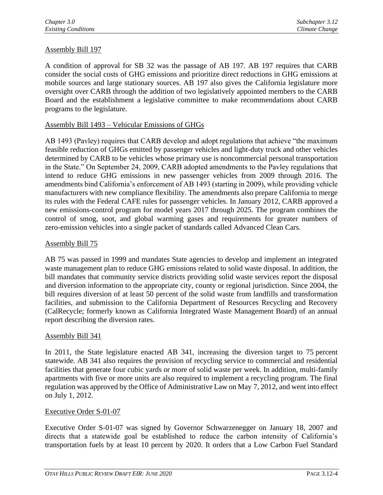## Assembly Bill 197

A condition of approval for SB 32 was the passage of AB 197. AB 197 requires that CARB consider the social costs of GHG emissions and prioritize direct reductions in GHG emissions at mobile sources and large stationary sources. AB 197 also gives the California legislature more oversight over CARB through the addition of two legislatively appointed members to the CARB Board and the establishment a legislative committee to make recommendations about CARB programs to the legislature.

### Assembly Bill 1493 – Vehicular Emissions of GHGs

AB 1493 (Pavley) requires that CARB develop and adopt regulations that achieve "the maximum feasible reduction of GHGs emitted by passenger vehicles and light-duty truck and other vehicles determined by CARB to be vehicles whose primary use is noncommercial personal transportation in the State." On September 24, 2009, CARB adopted amendments to the Pavley regulations that intend to reduce GHG emissions in new passenger vehicles from 2009 through 2016. The amendments bind California's enforcement of AB 1493 (starting in 2009), while providing vehicle manufacturers with new compliance flexibility. The amendments also prepare California to merge its rules with the Federal CAFE rules for passenger vehicles. In January 2012, CARB approved a new emissions-control program for model years 2017 through 2025. The program combines the control of smog, soot, and global warming gases and requirements for greater numbers of zero-emission vehicles into a single packet of standards called Advanced Clean Cars.

### Assembly Bill 75

AB 75 was passed in 1999 and mandates State agencies to develop and implement an integrated waste management plan to reduce GHG emissions related to solid waste disposal. In addition, the bill mandates that community service districts providing solid waste services report the disposal and diversion information to the appropriate city, county or regional jurisdiction. Since 2004, the bill requires diversion of at least 50 percent of the solid waste from landfills and transformation facilities, and submission to the California Department of Resources Recycling and Recovery (CalRecycle; formerly known as California Integrated Waste Management Board) of an annual report describing the diversion rates.

#### Assembly Bill 341

In 2011, the State legislature enacted AB 341, increasing the diversion target to 75 percent statewide. AB 341 also requires the provision of recycling service to commercial and residential facilities that generate four cubic yards or more of solid waste per week. In addition, multi-family apartments with five or more units are also required to implement a recycling program. The final regulation was approved by the Office of Administrative Law on May 7, 2012, and went into effect on July 1, 2012.

#### Executive Order S-01-07

Executive Order S-01-07 was signed by Governor Schwarzenegger on January 18, 2007 and directs that a statewide goal be established to reduce the carbon intensity of California's transportation fuels by at least 10 percent by 2020. It orders that a Low Carbon Fuel Standard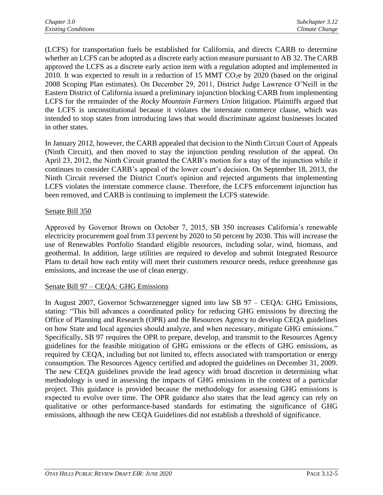(LCFS) for transportation fuels be established for California, and directs CARB to determine whether an LCFS can be adopted as a discrete early action measure pursuant to AB 32. The CARB approved the LCFS as a discrete early action item with a regulation adopted and implemented in 2010. It was expected to result in a reduction of 15 MMT  $CO<sub>2</sub>e$  by 2020 (based on the original 2008 Scoping Plan estimates). On December 29, 2011, District Judge Lawrence O'Neill in the Eastern District of California issued a preliminary injunction blocking CARB from implementing LCFS for the remainder of the *Rocky Mountain Farmers Union* litigation. Plaintiffs argued that the LCFS is unconstitutional because it violates the interstate commerce clause, which was intended to stop states from introducing laws that would discriminate against businesses located in other states.

In January 2012, however, the CARB appealed that decision to the Ninth Circuit Court of Appeals (Ninth Circuit), and then moved to stay the injunction pending resolution of the appeal. On April 23, 2012, the Ninth Circuit granted the CARB's motion for a stay of the injunction while it continues to consider CARB's appeal of the lower court's decision. On September 18, 2013, the Ninth Circuit reversed the District Court's opinion and rejected arguments that implementing LCFS violates the interstate commerce clause. Therefore, the LCFS enforcement injunction has been removed, and CARB is continuing to implement the LCFS statewide.

### Senate Bill 350

Approved by Governor Brown on October 7, 2015, SB 350 increases California's renewable electricity procurement goal from 33 percent by 2020 to 50 percent by 2030. This will increase the use of Renewables Portfolio Standard eligible resources, including solar, wind, biomass, and geothermal. In addition, large utilities are required to develop and submit Integrated Resource Plans to detail how each entity will meet their customers resource needs, reduce greenhouse gas emissions, and increase the use of clean energy.

## Senate Bill 97 – CEQA: GHG Emissions

In August 2007, Governor Schwarzenegger signed into law SB 97 – CEQA: GHG Emissions, stating: "This bill advances a coordinated policy for reducing GHG emissions by directing the Office of Planning and Research (OPR) and the Resources Agency to develop CEQA guidelines on how State and local agencies should analyze, and when necessary, mitigate GHG emissions." Specifically, SB 97 requires the OPR to prepare, develop, and transmit to the Resources Agency guidelines for the feasible mitigation of GHG emissions or the effects of GHG emissions, as required by CEQA, including but not limited to, effects associated with transportation or energy consumption. The Resources Agency certified and adopted the guidelines on December 31, 2009. The new CEQA guidelines provide the lead agency with broad discretion in determining what methodology is used in assessing the impacts of GHG emissions in the context of a particular project. This guidance is provided because the methodology for assessing GHG emissions is expected to evolve over time. The OPR guidance also states that the lead agency can rely on qualitative or other performance-based standards for estimating the significance of GHG emissions, although the new CEQA Guidelines did not establish a threshold of significance.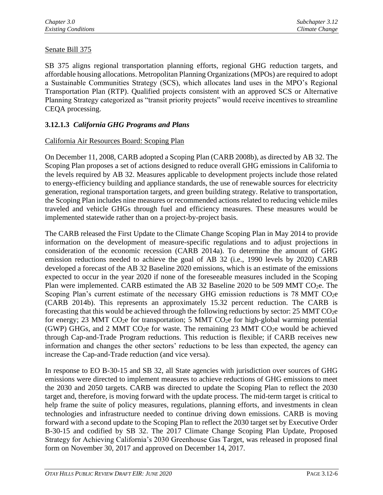## Senate Bill 375

SB 375 aligns regional transportation planning efforts, regional GHG reduction targets, and affordable housing allocations. Metropolitan Planning Organizations (MPOs) are required to adopt a Sustainable Communities Strategy (SCS), which allocates land uses in the MPO's Regional Transportation Plan (RTP). Qualified projects consistent with an approved SCS or Alternative Planning Strategy categorized as "transit priority projects" would receive incentives to streamline CEQA processing.

## **3.12.1.3** *California GHG Programs and Plans*

### California Air Resources Board: Scoping Plan

On December 11, 2008, CARB adopted a Scoping Plan (CARB 2008b), as directed by AB 32. The Scoping Plan proposes a set of actions designed to reduce overall GHG emissions in California to the levels required by AB 32. Measures applicable to development projects include those related to energy-efficiency building and appliance standards, the use of renewable sources for electricity generation, regional transportation targets, and green building strategy. Relative to transportation, the Scoping Plan includes nine measures or recommended actions related to reducing vehicle miles traveled and vehicle GHGs through fuel and efficiency measures. These measures would be implemented statewide rather than on a project-by-project basis.

The CARB released the First Update to the Climate Change Scoping Plan in May 2014 to provide information on the development of measure-specific regulations and to adjust projections in consideration of the economic recession (CARB 2014a). To determine the amount of GHG emission reductions needed to achieve the goal of AB 32 (i.e., 1990 levels by 2020) CARB developed a forecast of the AB 32 Baseline 2020 emissions, which is an estimate of the emissions expected to occur in the year 2020 if none of the foreseeable measures included in the Scoping Plan were implemented. CARB estimated the AB 32 Baseline 2020 to be 509 MMT CO<sub>2</sub>e. The Scoping Plan's current estimate of the necessary GHG emission reductions is 78 MMT  $CO<sub>2</sub>e$ (CARB 2014b). This represents an approximately 15.32 percent reduction. The CARB is forecasting that this would be achieved through the following reductions by sector:  $25 \text{ MMT CO}_2$ e for energy; 23 MMT CO<sub>2</sub>e for transportation; 5 MMT CO<sub>2</sub>e for high-global warming potential (GWP) GHGs, and 2 MMT CO<sub>2</sub>e for waste. The remaining 23 MMT CO<sub>2</sub>e would be achieved through Cap-and-Trade Program reductions. This reduction is flexible; if CARB receives new information and changes the other sectors' reductions to be less than expected, the agency can increase the Cap-and-Trade reduction (and vice versa).

In response to EO B-30-15 and SB 32, all State agencies with jurisdiction over sources of GHG emissions were directed to implement measures to achieve reductions of GHG emissions to meet the 2030 and 2050 targets. CARB was directed to update the Scoping Plan to reflect the 2030 target and, therefore, is moving forward with the update process. The mid-term target is critical to help frame the suite of policy measures, regulations, planning efforts, and investments in clean technologies and infrastructure needed to continue driving down emissions. CARB is moving forward with a second update to the Scoping Plan to reflect the 2030 target set by Executive Order B-30-15 and codified by SB 32. The 2017 Climate Change Scoping Plan Update, Proposed Strategy for Achieving California's 2030 Greenhouse Gas Target, was released in proposed final form on November 30, 2017 and approved on December 14, 2017.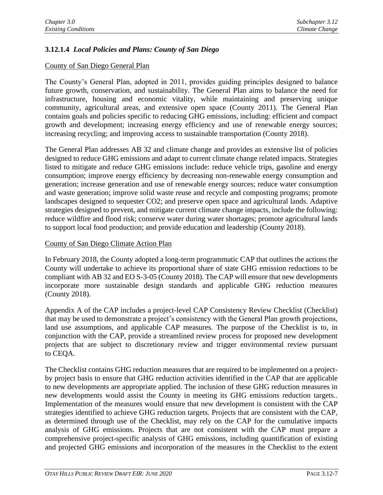# **3.12.1.4** *Local Policies and Plans: County of San Diego*

### County of San Diego General Plan

The County's General Plan, adopted in 2011, provides guiding principles designed to balance future growth, conservation, and sustainability. The General Plan aims to balance the need for infrastructure, housing and economic vitality, while maintaining and preserving unique community, agricultural areas, and extensive open space (County 2011). The General Plan contains goals and policies specific to reducing GHG emissions, including: efficient and compact growth and development; increasing energy efficiency and use of renewable energy sources; increasing recycling; and improving access to sustainable transportation (County 2018).

The General Plan addresses AB 32 and climate change and provides an extensive list of policies designed to reduce GHG emissions and adapt to current climate change related impacts. Strategies listed to mitigate and reduce GHG emissions include: reduce vehicle trips, gasoline and energy consumption; improve energy efficiency by decreasing non-renewable energy consumption and generation; increase generation and use of renewable energy sources; reduce water consumption and waste generation; improve solid waste reuse and recycle and composting programs; promote landscapes designed to sequester CO2; and preserve open space and agricultural lands. Adaptive strategies designed to prevent, and mitigate current climate change impacts, include the following: reduce wildfire and flood risk; conserve water during water shortages; promote agricultural lands to support local food production; and provide education and leadership (County 2018).

### County of San Diego Climate Action Plan

In February 2018, the County adopted a long-term programmatic CAP that outlines the actions the County will undertake to achieve its proportional share of state GHG emission reductions to be compliant with AB 32 and EO S-3-05 (County 2018). The CAP will ensure that new developments incorporate more sustainable design standards and applicable GHG reduction measures (County 2018).

Appendix A of the CAP includes a project-level CAP Consistency Review Checklist (Checklist) that may be used to demonstrate a project's consistency with the General Plan growth projections, land use assumptions, and applicable CAP measures. The purpose of the Checklist is to, in conjunction with the CAP, provide a streamlined review process for proposed new development projects that are subject to discretionary review and trigger environmental review pursuant to CEQA.

The Checklist contains GHG reduction measures that are required to be implemented on a projectby project basis to ensure that GHG reduction activities identified in the CAP that are applicable to new developments are appropriate applied. The inclusion of these GHG reduction measures in new developments would assist the County in meeting its GHG emissions reduction targets.. Implementation of the measures would ensure that new development is consistent with the CAP strategies identified to achieve GHG reduction targets. Projects that are consistent with the CAP, as determined through use of the Checklist, may rely on the CAP for the cumulative impacts analysis of GHG emissions. Projects that are not consistent with the CAP must prepare a comprehensive project-specific analysis of GHG emissions, including quantification of existing and projected GHG emissions and incorporation of the measures in the Checklist to the extent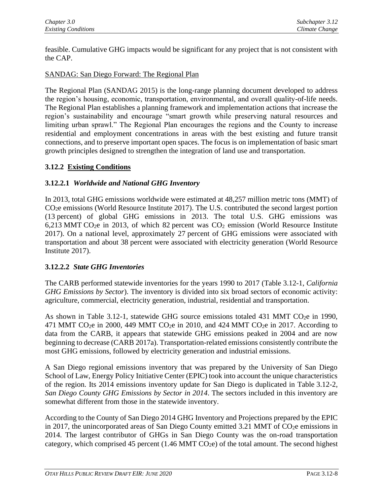feasible. Cumulative GHG impacts would be significant for any project that is not consistent with the CAP.

## SANDAG: San Diego Forward: The Regional Plan

The Regional Plan (SANDAG 2015) is the long-range planning document developed to address the region's housing, economic, transportation, environmental, and overall quality-of-life needs. The Regional Plan establishes a planning framework and implementation actions that increase the region's sustainability and encourage "smart growth while preserving natural resources and limiting urban sprawl." The Regional Plan encourages the regions and the County to increase residential and employment concentrations in areas with the best existing and future transit connections, and to preserve important open spaces. The focus is on implementation of basic smart growth principles designed to strengthen the integration of land use and transportation.

# **3.12.2 Existing Conditions**

## **3.12.2.1** *Worldwide and National GHG Inventory*

In 2013, total GHG emissions worldwide were estimated at 48,257 million metric tons (MMT) of CO2e emissions (World Resource Institute 2017). The U.S. contributed the second largest portion (13 percent) of global GHG emissions in 2013. The total U.S. GHG emissions was 6,213 MMT CO<sub>2</sub>e in 2013, of which 82 percent was  $CO<sub>2</sub>$  emission (World Resource Institute 2017). On a national level, approximately 27 percent of GHG emissions were associated with transportation and about 38 percent were associated with electricity generation (World Resource Institute 2017).

## **3.12.2.2** *State GHG Inventories*

The CARB performed statewide inventories for the years 1990 to 2017 (Table 3.12-1, *California GHG Emissions by Sector*). The inventory is divided into six broad sectors of economic activity: agriculture, commercial, electricity generation, industrial, residential and transportation.

As shown in Table 3.12-1, statewide GHG source emissions totaled 431 MMT CO<sub>2</sub>e in 1990, 471 MMT CO<sub>2</sub>e in 2000, 449 MMT CO<sub>2</sub>e in 2010, and 424 MMT CO<sub>2</sub>e in 2017. According to data from the CARB, it appears that statewide GHG emissions peaked in 2004 and are now beginning to decrease (CARB 2017a). Transportation-related emissions consistently contribute the most GHG emissions, followed by electricity generation and industrial emissions.

A San Diego regional emissions inventory that was prepared by the University of San Diego School of Law, Energy Policy Initiative Center (EPIC) took into account the unique characteristics of the region. Its 2014 emissions inventory update for San Diego is duplicated in Table 3.12-2, *San Diego County GHG Emissions by Sector in 2014*. The sectors included in this inventory are somewhat different from those in the statewide inventory.

According to the County of San Diego 2014 GHG Inventory and Projections prepared by the EPIC in 2017, the unincorporated areas of San Diego County emitted 3.21 MMT of  $CO<sub>2</sub>e$  emissions in 2014. The largest contributor of GHGs in San Diego County was the on-road transportation category, which comprised 45 percent  $(1.46 \text{ MMT CO}_2)$  of the total amount. The second highest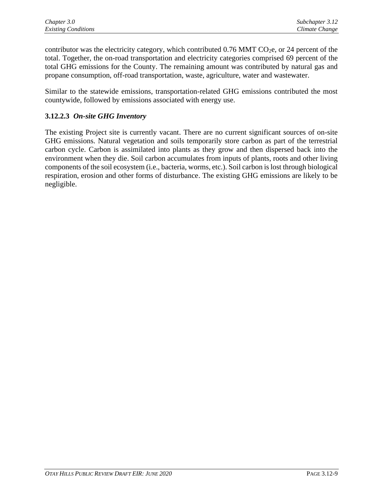contributor was the electricity category, which contributed  $0.76$  MMT CO<sub>2</sub>e, or 24 percent of the total. Together, the on-road transportation and electricity categories comprised 69 percent of the total GHG emissions for the County. The remaining amount was contributed by natural gas and propane consumption, off-road transportation, waste, agriculture, water and wastewater.

Similar to the statewide emissions, transportation-related GHG emissions contributed the most countywide, followed by emissions associated with energy use.

# **3.12.2.3** *On-site GHG Inventory*

The existing Project site is currently vacant. There are no current significant sources of on-site GHG emissions. Natural vegetation and soils temporarily store carbon as part of the terrestrial carbon cycle. Carbon is assimilated into plants as they grow and then dispersed back into the environment when they die. Soil carbon accumulates from inputs of plants, roots and other living components of the soil ecosystem (i.e., bacteria, worms, etc.). Soil carbon is lost through biological respiration, erosion and other forms of disturbance. The existing GHG emissions are likely to be negligible.